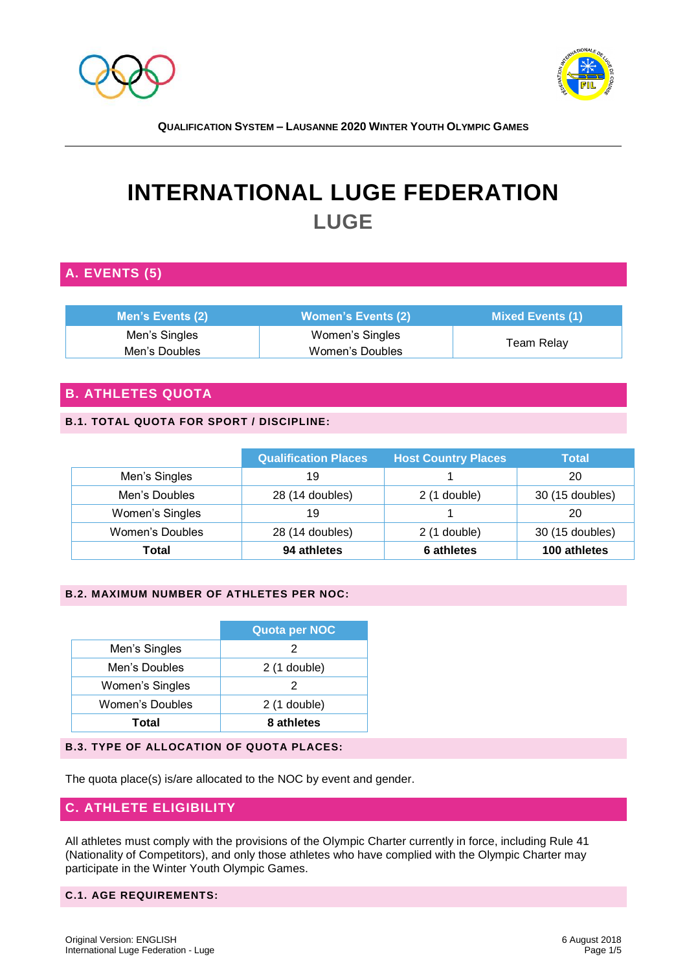



# **INTERNATIONAL LUGE FEDERATION LUGE**

# **A. EVENTS (5)**

| <b>Men's Events (2)</b> | l Women's Events (2) ; | Mixed Events (1) |  |
|-------------------------|------------------------|------------------|--|
| Men's Singles           | Women's Singles        |                  |  |
| Men's Doubles           | Women's Doubles        | Team Relay       |  |

## **B. ATHLETES QUOTA**

#### **B.1. TOTAL QUOTA FOR SPORT / DISCIPLINE:**

|                        | <b>Qualification Places</b> | <b>Host Country Places</b> | <b>Total</b>    |
|------------------------|-----------------------------|----------------------------|-----------------|
| Men's Singles          | 19                          |                            | 20              |
| Men's Doubles          | 28 (14 doubles)             | $2(1$ double)              | 30 (15 doubles) |
| Women's Singles        | 19                          |                            | 20              |
| <b>Women's Doubles</b> | 28 (14 doubles)             | $2(1$ double)              | 30 (15 doubles) |
| Total                  | 94 athletes                 | 6 athletes                 | 100 athletes    |

#### **B.2. MAXIMUM NUMBER OF ATHLETES PER NOC:**

|                        | <b>Quota per NOC</b> |
|------------------------|----------------------|
| Men's Singles          | 2                    |
| Men's Doubles          | $2(1$ double)        |
| Women's Singles        | 2                    |
| <b>Women's Doubles</b> | $2(1$ double)        |
| Total                  | 8 athletes           |

#### **B.3. TYPE OF ALLOCATION OF QUOTA PLACES:**

The quota place(s) is/are allocated to the NOC by event and gender.

### **C. ATHLETE ELIGIBILITY**

All athletes must comply with the provisions of the Olympic Charter currently in force, including Rule 41 (Nationality of Competitors), and only those athletes who have complied with the Olympic Charter may participate in the Winter Youth Olympic Games.

#### **C.1. AGE REQUIREMENTS:**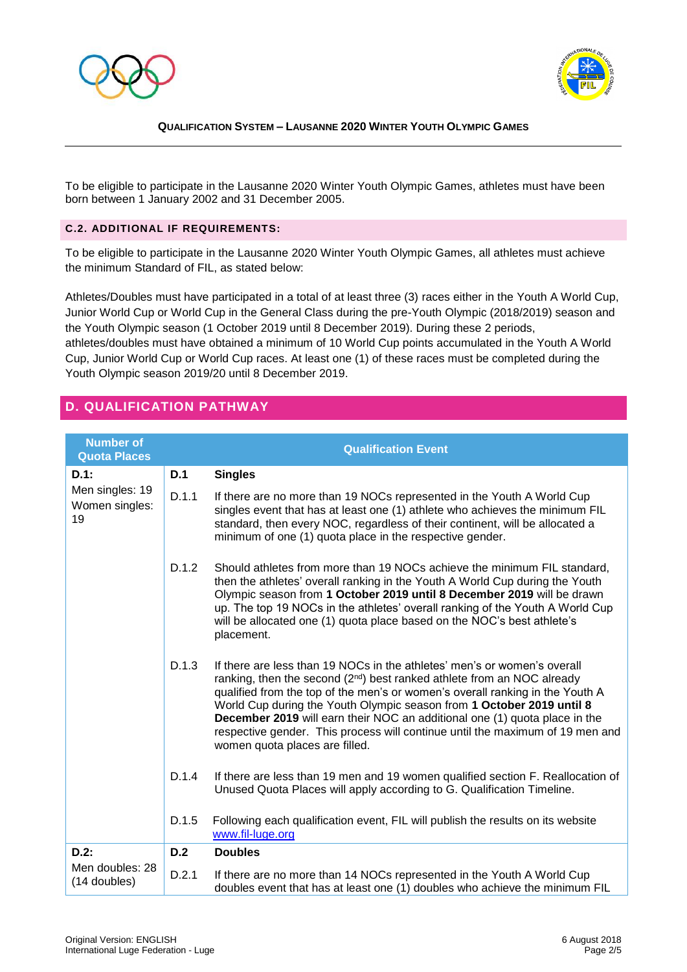



To be eligible to participate in the Lausanne 2020 Winter Youth Olympic Games, athletes must have been born between 1 January 2002 and 31 December 2005.

#### **C.2. ADDITIONAL IF REQUIREMENTS:**

To be eligible to participate in the Lausanne 2020 Winter Youth Olympic Games, all athletes must achieve the minimum Standard of FIL, as stated below:

Athletes/Doubles must have participated in a total of at least three (3) races either in the Youth A World Cup, Junior World Cup or World Cup in the General Class during the pre-Youth Olympic (2018/2019) season and the Youth Olympic season (1 October 2019 until 8 December 2019). During these 2 periods, athletes/doubles must have obtained a minimum of 10 World Cup points accumulated in the Youth A World Cup, Junior World Cup or World Cup races. At least one (1) of these races must be completed during the Youth Olympic season 2019/20 until 8 December 2019.

## **D. QUALIFICATION PATHWAY**

| <b>Number of</b><br><b>Quota Places</b>            |       | <b>Qualification Event</b>                                                                                                                                                                                                                                                                                                                                                                                                                                                                                                        |
|----------------------------------------------------|-------|-----------------------------------------------------------------------------------------------------------------------------------------------------------------------------------------------------------------------------------------------------------------------------------------------------------------------------------------------------------------------------------------------------------------------------------------------------------------------------------------------------------------------------------|
| $D.1$ :<br>Men singles: 19<br>Women singles:<br>19 | D.1   | <b>Singles</b>                                                                                                                                                                                                                                                                                                                                                                                                                                                                                                                    |
|                                                    | D.1.1 | If there are no more than 19 NOCs represented in the Youth A World Cup<br>singles event that has at least one (1) athlete who achieves the minimum FIL<br>standard, then every NOC, regardless of their continent, will be allocated a<br>minimum of one (1) quota place in the respective gender.                                                                                                                                                                                                                                |
|                                                    | D.1.2 | Should athletes from more than 19 NOCs achieve the minimum FIL standard,<br>then the athletes' overall ranking in the Youth A World Cup during the Youth<br>Olympic season from 1 October 2019 until 8 December 2019 will be drawn<br>up. The top 19 NOCs in the athletes' overall ranking of the Youth A World Cup<br>will be allocated one (1) quota place based on the NOC's best athlete's<br>placement.                                                                                                                      |
|                                                    | D.1.3 | If there are less than 19 NOCs in the athletes' men's or women's overall<br>ranking, then the second (2 <sup>nd</sup> ) best ranked athlete from an NOC already<br>qualified from the top of the men's or women's overall ranking in the Youth A<br>World Cup during the Youth Olympic season from 1 October 2019 until 8<br><b>December 2019</b> will earn their NOC an additional one (1) quota place in the<br>respective gender. This process will continue until the maximum of 19 men and<br>women quota places are filled. |
|                                                    | D.1.4 | If there are less than 19 men and 19 women qualified section F. Reallocation of<br>Unused Quota Places will apply according to G. Qualification Timeline.                                                                                                                                                                                                                                                                                                                                                                         |
|                                                    | D.1.5 | Following each qualification event, FIL will publish the results on its website<br>www.fil-luge.org                                                                                                                                                                                                                                                                                                                                                                                                                               |
| $D.2$ :<br>Men doubles: 28<br>(14 doubles)         | D.2   | <b>Doubles</b>                                                                                                                                                                                                                                                                                                                                                                                                                                                                                                                    |
|                                                    | D.2.1 | If there are no more than 14 NOCs represented in the Youth A World Cup<br>doubles event that has at least one (1) doubles who achieve the minimum FIL                                                                                                                                                                                                                                                                                                                                                                             |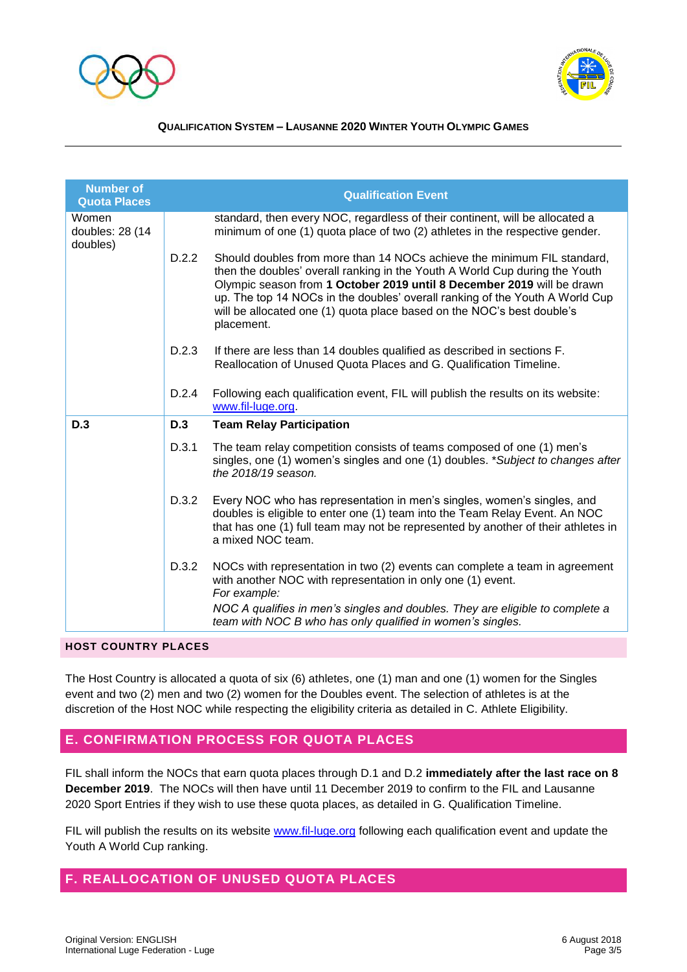



| <b>Number of</b><br><b>Quota Places</b> |       | <b>Qualification Event</b>                                                                                                                                                                                                                                                                                                                                                                               |
|-----------------------------------------|-------|----------------------------------------------------------------------------------------------------------------------------------------------------------------------------------------------------------------------------------------------------------------------------------------------------------------------------------------------------------------------------------------------------------|
| Women<br>doubles: 28 (14<br>doubles)    |       | standard, then every NOC, regardless of their continent, will be allocated a<br>minimum of one (1) quota place of two (2) athletes in the respective gender.                                                                                                                                                                                                                                             |
|                                         | D.2.2 | Should doubles from more than 14 NOCs achieve the minimum FIL standard.<br>then the doubles' overall ranking in the Youth A World Cup during the Youth<br>Olympic season from 1 October 2019 until 8 December 2019 will be drawn<br>up. The top 14 NOCs in the doubles' overall ranking of the Youth A World Cup<br>will be allocated one (1) quota place based on the NOC's best double's<br>placement. |
|                                         | D.2.3 | If there are less than 14 doubles qualified as described in sections F.<br>Reallocation of Unused Quota Places and G. Qualification Timeline.                                                                                                                                                                                                                                                            |
|                                         | D.2.4 | Following each qualification event, FIL will publish the results on its website:<br>www.fil-luge.org.                                                                                                                                                                                                                                                                                                    |
| D.3                                     | D.3   | <b>Team Relay Participation</b>                                                                                                                                                                                                                                                                                                                                                                          |
|                                         | D.3.1 | The team relay competition consists of teams composed of one (1) men's<br>singles, one (1) women's singles and one (1) doubles. *Subject to changes after<br>the 2018/19 season.                                                                                                                                                                                                                         |
|                                         | D.3.2 | Every NOC who has representation in men's singles, women's singles, and<br>doubles is eligible to enter one (1) team into the Team Relay Event. An NOC<br>that has one (1) full team may not be represented by another of their athletes in<br>a mixed NOC team.                                                                                                                                         |
|                                         | D.3.2 | NOCs with representation in two (2) events can complete a team in agreement<br>with another NOC with representation in only one (1) event.<br>For example:                                                                                                                                                                                                                                               |
|                                         |       | NOC A qualifies in men's singles and doubles. They are eligible to complete a<br>team with NOC B who has only qualified in women's singles.                                                                                                                                                                                                                                                              |

**HOST COUNTRY PLACES**

The Host Country is allocated a quota of six (6) athletes, one (1) man and one (1) women for the Singles event and two (2) men and two (2) women for the Doubles event. The selection of athletes is at the discretion of the Host NOC while respecting the eligibility criteria as detailed in C. Athlete Eligibility.

## **E. CONFIRMATION PROCESS FOR QUOTA PLACES**

FIL shall inform the NOCs that earn quota places through D.1 and D.2 **immediately after the last race on 8 December 2019**. The NOCs will then have until 11 December 2019 to confirm to the FIL and Lausanne 2020 Sport Entries if they wish to use these quota places, as detailed in G. Qualification Timeline.

FIL will publish the results on its website [www.fil-luge.org](http://www.fil-luge.org/) following each qualification event and update the Youth A World Cup ranking.

## **F. REALLOCATION OF UNUSED QUOTA PLACES**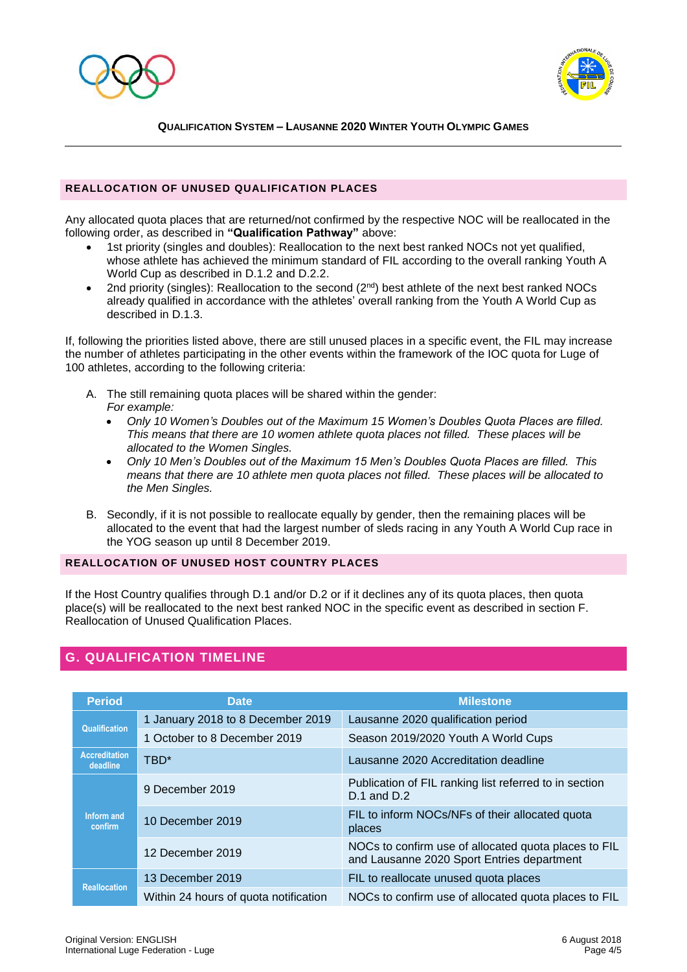



#### **REALLOCATION OF UNUSED QUALIFICATION PLACES**

Any allocated quota places that are returned/not confirmed by the respective NOC will be reallocated in the following order, as described in **"Qualification Pathway"** above:

- 1st priority (singles and doubles): Reallocation to the next best ranked NOCs not yet qualified, whose athlete has achieved the minimum standard of FIL according to the overall ranking Youth A World Cup as described in D.1.2 and D.2.2.
- 2nd priority (singles): Reallocation to the second  $(2<sup>nd</sup>)$  best athlete of the next best ranked NOCs already qualified in accordance with the athletes' overall ranking from the Youth A World Cup as described in D.1.3.

If, following the priorities listed above, there are still unused places in a specific event, the FIL may increase the number of athletes participating in the other events within the framework of the IOC quota for Luge of 100 athletes, according to the following criteria:

- A. The still remaining quota places will be shared within the gender: *For example:* 
	- *Only 10 Women's Doubles out of the Maximum 15 Women's Doubles Quota Places are filled. This means that there are 10 women athlete quota places not filled. These places will be allocated to the Women Singles.*
	- *Only 10 Men's Doubles out of the Maximum 15 Men's Doubles Quota Places are filled. This means that there are 10 athlete men quota places not filled. These places will be allocated to the Men Singles.*
- B. Secondly, if it is not possible to reallocate equally by gender, then the remaining places will be allocated to the event that had the largest number of sleds racing in any Youth A World Cup race in the YOG season up until 8 December 2019.

#### **REALLOCATION OF UNUSED HOST COUNTRY PLACES**

If the Host Country qualifies through D.1 and/or D.2 or if it declines any of its quota places, then quota place(s) will be reallocated to the next best ranked NOC in the specific event as described in section F. Reallocation of Unused Qualification Places.

## **G. QUALIFICATION TIMELINE**

| <b>Period</b>                    | <b>Date</b>                           | <b>Milestone</b>                                                                                   |
|----------------------------------|---------------------------------------|----------------------------------------------------------------------------------------------------|
| <b>Qualification</b>             | 1 January 2018 to 8 December 2019     | Lausanne 2020 qualification period                                                                 |
|                                  | 1 October to 8 December 2019          | Season 2019/2020 Youth A World Cups                                                                |
| <b>Accreditation</b><br>deadline | TBD*                                  | Lausanne 2020 Accreditation deadline                                                               |
| Inform and<br><b>confirm</b>     | 9 December 2019                       | Publication of FIL ranking list referred to in section<br>$D.1$ and $D.2$                          |
|                                  | 10 December 2019                      | FIL to inform NOCs/NFs of their allocated quota<br>places                                          |
|                                  | 12 December 2019                      | NOCs to confirm use of allocated quota places to FIL<br>and Lausanne 2020 Sport Entries department |
| <b>Reallocation</b>              | 13 December 2019                      | FIL to reallocate unused quota places                                                              |
|                                  | Within 24 hours of quota notification | NOCs to confirm use of allocated quota places to FIL                                               |